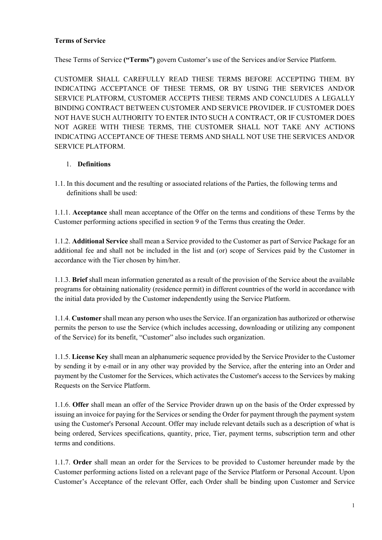## **Terms of Service**

These Terms of Service **("Terms")** govern Customer's use of the Services and/or Service Platform.

CUSTOMER SHALL CAREFULLY READ THESE TERMS BEFORE ACCEPTING THEM. BY INDICATING ACCEPTANCE OF THESE TERMS, OR BY USING THE SERVICES AND/OR SERVICE PLATFORM, CUSTOMER ACCEPTS THESE TERMS AND CONCLUDES A LEGALLY BINDING CONTRACT BETWEEN CUSTOMER AND SERVICE PROVIDER. IF CUSTOMER DOES NOT HAVE SUCH AUTHORITY TO ENTER INTO SUCH A CONTRACT, OR IF CUSTOMER DOES NOT AGREE WITH THESE TERMS, THE CUSTOMER SHALL NOT TAKE ANY ACTIONS INDICATING ACCEPTANCE OF THESE TERMS AND SHALL NOT USE THE SERVICES AND/OR SERVICE PLATFORM.

## 1. **Definitions**

1.1. In this document and the resulting or associated relations of the Parties, the following terms and definitions shall be used:

1.1.1. **Acceptance** shall mean acceptance of the Offer on the terms and conditions of these Terms by the Customer performing actions specified in section 9 of the Terms thus creating the Order.

1.1.2. **Additional Service** shall mean a Service provided to the Customer as part of Service Package for an additional fee and shall not be included in the list and (or) scope of Services paid by the Customer in accordance with the Tier chosen by him/her.

1.1.3. **Brief** shall mean information generated as a result of the provision of the Service about the available programs for obtaining nationality (residence permit) in different countries of the world in accordance with the initial data provided by the Customer independently using the Service Platform.

1.1.4. **Customer** shall mean any person who uses the Service. If an organization has authorized or otherwise permits the person to use the Service (which includes accessing, downloading or utilizing any component of the Service) for its benefit, "Customer" also includes such organization.

1.1.5. **License Key** shall mean an alphanumeric sequence provided by the Service Provider to the Customer by sending it by e-mail or in any other way provided by the Service, after the entering into an Order and payment by the Customer for the Services, which activates the Customer's access to the Services by making Requests on the Service Platform.

1.1.6. **Offer** shall mean an offer of the Service Provider drawn up on the basis of the Order expressed by issuing an invoice for paying for the Services or sending the Order for payment through the payment system using the Customer's Personal Account. Offer may include relevant details such as a description of what is being ordered, Services specifications, quantity, price, Tier, payment terms, subscription term and other terms and conditions.

1.1.7. **Order** shall mean an order for the Services to be provided to Customer hereunder made by the Customer performing actions listed on a relevant page of the Service Platform or Personal Account. Upon Customer's Acceptance of the relevant Offer, each Order shall be binding upon Customer and Service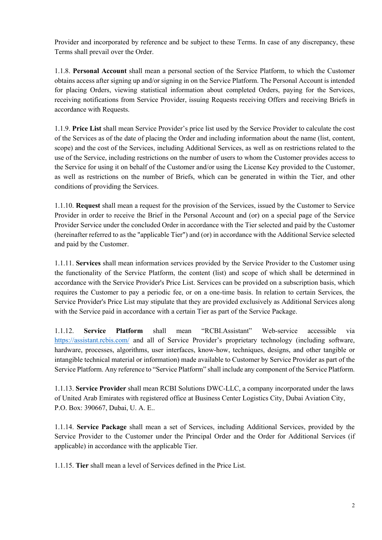Provider and incorporated by reference and be subject to these Terms. In case of any discrepancy, these Terms shall prevail over the Order.

1.1.8. **Personal Account** shall mean a personal section of the Service Platform, to which the Customer obtains access after signing up and/or signing in on the Service Platform. The Personal Account is intended for placing Orders, viewing statistical information about completed Orders, paying for the Services, receiving notifications from Service Provider, issuing Requests receiving Offers and receiving Briefs in accordance with Requests.

1.1.9. **Price List** shall mean Service Provider's price list used by the Service Provider to calculate the cost of the Services as of the date of placing the Order and including information about the name (list, content, scope) and the cost of the Services, including Additional Services, as well as on restrictions related to the use of the Service, including restrictions on the number of users to whom the Customer provides access to the Service for using it on behalf of the Customer and/or using the License Key provided to the Customer, as well as restrictions on the number of Briefs, which can be generated in within the Tier, and other conditions of providing the Services.

1.1.10. **Request** shall mean a request for the provision of the Services, issued by the Customer to Service Provider in order to receive the Brief in the Personal Account and (or) on a special page of the Service Provider Service under the concluded Order in accordance with the Tier selected and paid by the Customer (hereinafter referred to as the "applicable Tier") and (or) in accordance with the Additional Service selected and paid by the Customer.

1.1.11. **Services** shall mean information services provided by the Service Provider to the Customer using the functionality of the Service Platform, the content (list) and scope of which shall be determined in accordance with the Service Provider's Price List. Services can be provided on a subscription basis, which requires the Customer to pay a periodic fee, or on a one-time basis. In relation to certain Services, the Service Provider's Price List may stipulate that they are provided exclusively as Additional Services along with the Service paid in accordance with a certain Tier as part of the Service Package.

1.1.12. **Service Platform** shall mean "RCBI.Assistant" Web-service accessible via https://assistant.rcbis.com/ and all of Service Provider's proprietary technology (including software, hardware, processes, algorithms, user interfaces, know-how, techniques, designs, and other tangible or intangible technical material or information) made available to Customer by Service Provider as part of the Service Platform. Any reference to "Service Platform" shall include any component of the Service Platform.

1.1.13. **Service Provider** shall mean RCBI Solutions DWC-LLC, a company incorporated under the laws of United Arab Emirates with registered office at Business Center Logistics City, Dubai Aviation City, P.O. Box: 390667, Dubai, U. A. E..

1.1.14. **Service Package** shall mean a set of Services, including Additional Services, provided by the Service Provider to the Customer under the Principal Order and the Order for Additional Services (if applicable) in accordance with the applicable Tier.

1.1.15. **Tier** shall mean a level of Services defined in the Price List.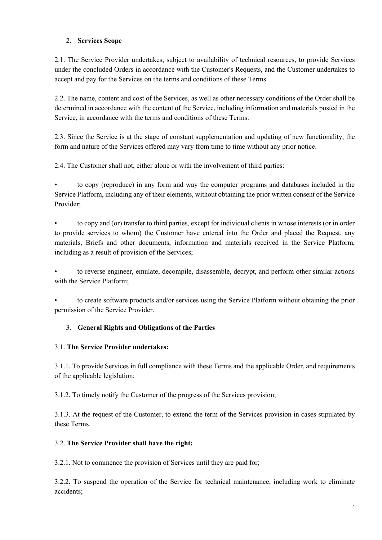## 2. **Services Scope**

2.1. The Service Provider undertakes, subject to availability of technical resources, to provide Services under the concluded Orders in accordance with the Customer's Requests, and the Customer undertakes to accept and pay for the Services on the terms and conditions of these Terms.

2.2. The name, content and cost of the Services, as well as other necessary conditions of the Order shall be determined in accordance with the content of the Service, including information and materials posted in the Service, in accordance with the terms and conditions of these Terms.

2.3. Since the Service is at the stage of constant supplementation and updating of new functionality, the form and nature of the Services offered may vary from time to time without any prior notice.

2.4. The Customer shall not, either alone or with the involvement of third parties:

• to copy (reproduce) in any form and way the computer programs and databases included in the Service Platform, including any of their elements, without obtaining the prior written consent of the Service Provider;

• to copy and (or) transfer to third parties, except for individual clients in whose interests (or in order to provide services to whom) the Customer have entered into the Order and placed the Request, any materials, Briefs and other documents, information and materials received in the Service Platform, including as a result of provision of the Services;

• to reverse engineer, emulate, decompile, disassemble, decrypt, and perform other similar actions with the Service Platform;

• to create software products and/or services using the Service Platform without obtaining the prior permission of the Service Provider.

# 3. **General Rights and Obligations of the Parties**

# 3.1. **The Service Provider undertakes:**

3.1.1. To provide Services in full compliance with these Terms and the applicable Order, and requirements of the applicable legislation;

3.1.2. To timely notify the Customer of the progress of the Services provision;

3.1.3. At the request of the Customer, to extend the term of the Services provision in cases stipulated by these Terms.

#### 3.2. **The Service Provider shall have the right:**

3.2.1. Not to commence the provision of Services until they are paid for;

3.2.2. To suspend the operation of the Service for technical maintenance, including work to eliminate accidents;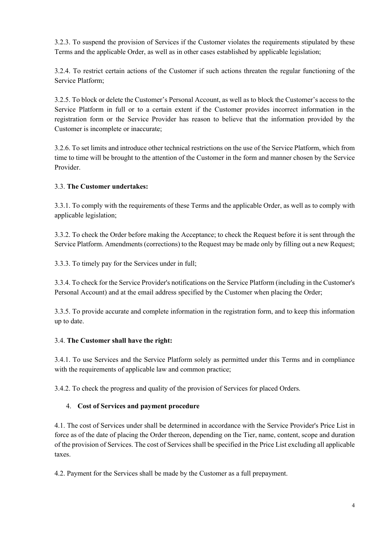3.2.3. To suspend the provision of Services if the Customer violates the requirements stipulated by these Terms and the applicable Order, as well as in other cases established by applicable legislation;

3.2.4. To restrict certain actions of the Customer if such actions threaten the regular functioning of the Service Platform;

3.2.5. To block or delete the Customer's Personal Account, as well as to block the Customer's access to the Service Platform in full or to a certain extent if the Customer provides incorrect information in the registration form or the Service Provider has reason to believe that the information provided by the Customer is incomplete or inaccurate;

3.2.6. To set limits and introduce other technical restrictions on the use of the Service Platform, which from time to time will be brought to the attention of the Customer in the form and manner chosen by the Service Provider.

## 3.3. **The Customer undertakes:**

3.3.1. To comply with the requirements of these Terms and the applicable Order, as well as to comply with applicable legislation;

3.3.2. To check the Order before making the Acceptance; to check the Request before it is sent through the Service Platform. Amendments (corrections) to the Request may be made only by filling out a new Request;

3.3.3. To timely pay for the Services under in full;

3.3.4. To check for the Service Provider's notifications on the Service Platform (including in the Customer's Personal Account) and at the email address specified by the Customer when placing the Order;

3.3.5. To provide accurate and complete information in the registration form, and to keep this information up to date.

#### 3.4. **The Customer shall have the right:**

3.4.1. To use Services and the Service Platform solely as permitted under this Terms and in compliance with the requirements of applicable law and common practice;

3.4.2. To check the progress and quality of the provision of Services for placed Orders.

#### 4. **Cost of Services and payment procedure**

4.1. The cost of Services under shall be determined in accordance with the Service Provider's Price List in force as of the date of placing the Order thereon, depending on the Tier, name, content, scope and duration of the provision of Services. The cost of Services shall be specified in the Price List excluding all applicable taxes.

4.2. Payment for the Services shall be made by the Customer as a full prepayment.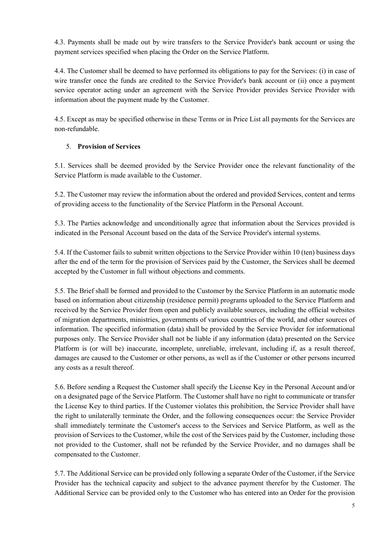4.3. Payments shall be made out by wire transfers to the Service Provider's bank account or using the payment services specified when placing the Order on the Service Platform.

4.4. The Customer shall be deemed to have performed its obligations to pay for the Services: (i) in case of wire transfer once the funds are credited to the Service Provider's bank account or (ii) once a payment service operator acting under an agreement with the Service Provider provides Service Provider with information about the payment made by the Customer.

4.5. Except as may be specified otherwise in these Terms or in Price List all payments for the Services are non-refundable.

# 5. **Provision of Services**

5.1. Services shall be deemed provided by the Service Provider once the relevant functionality of the Service Platform is made available to the Customer.

5.2. The Customer may review the information about the ordered and provided Services, content and terms of providing access to the functionality of the Service Platform in the Personal Account.

5.3. The Parties acknowledge and unconditionally agree that information about the Services provided is indicated in the Personal Account based on the data of the Service Provider's internal systems.

5.4. If the Customer fails to submit written objections to the Service Provider within 10 (ten) business days after the end of the term for the provision of Services paid by the Customer, the Services shall be deemed accepted by the Customer in full without objections and comments.

5.5. The Brief shall be formed and provided to the Customer by the Service Platform in an automatic mode based on information about citizenship (residence permit) programs uploaded to the Service Platform and received by the Service Provider from open and publicly available sources, including the official websites of migration departments, ministries, governments of various countries of the world, and other sources of information. The specified information (data) shall be provided by the Service Provider for informational purposes only. The Service Provider shall not be liable if any information (data) presented on the Service Platform is (or will be) inaccurate, incomplete, unreliable, irrelevant, including if, as a result thereof, damages are caused to the Customer or other persons, as well as if the Customer or other persons incurred any costs as a result thereof.

5.6. Before sending a Request the Customer shall specify the License Key in the Personal Account and/or on a designated page of the Service Platform. The Customer shall have no right to communicate or transfer the License Key to third parties. If the Customer violates this prohibition, the Service Provider shall have the right to unilaterally terminate the Order, and the following consequences occur: the Service Provider shall immediately terminate the Customer's access to the Services and Service Platform, as well as the provision of Services to the Customer, while the cost of the Services paid by the Customer, including those not provided to the Customer, shall not be refunded by the Service Provider, and no damages shall be compensated to the Customer.

5.7. The Additional Service can be provided only following a separate Order of the Customer, if the Service Provider has the technical capacity and subject to the advance payment therefor by the Customer. The Additional Service can be provided only to the Customer who has entered into an Order for the provision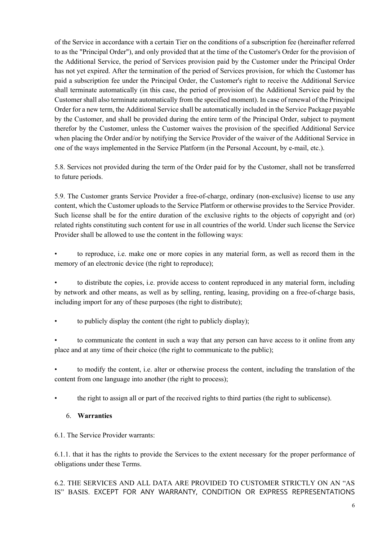of the Service in accordance with a certain Tier on the conditions of a subscription fee (hereinafter referred to as the "Principal Order"), and only provided that at the time of the Customer's Order for the provision of the Additional Service, the period of Services provision paid by the Customer under the Principal Order has not yet expired. After the termination of the period of Services provision, for which the Customer has paid a subscription fee under the Principal Order, the Customer's right to receive the Additional Service shall terminate automatically (in this case, the period of provision of the Additional Service paid by the Customer shall also terminate automatically from the specified moment). In case of renewal of the Principal Order for a new term, the Additional Service shall be automatically included in the Service Package payable by the Customer, and shall be provided during the entire term of the Principal Order, subject to payment therefor by the Customer, unless the Customer waives the provision of the specified Additional Service when placing the Order and/or by notifying the Service Provider of the waiver of the Additional Service in one of the ways implemented in the Service Platform (in the Personal Account, by e-mail, etc.).

5.8. Services not provided during the term of the Order paid for by the Customer, shall not be transferred to future periods.

5.9. The Customer grants Service Provider a free-of-charge, ordinary (non-exclusive) license to use any content, which the Customer uploads to the Service Platform or otherwise provides to the Service Provider. Such license shall be for the entire duration of the exclusive rights to the objects of copyright and (or) related rights constituting such content for use in all countries of the world. Under such license the Service Provider shall be allowed to use the content in the following ways:

• to reproduce, i.e. make one or more copies in any material form, as well as record them in the memory of an electronic device (the right to reproduce);

• to distribute the copies, i.e. provide access to content reproduced in any material form, including by network and other means, as well as by selling, renting, leasing, providing on a free-of-charge basis, including import for any of these purposes (the right to distribute);

• to publicly display the content (the right to publicly display);

• to communicate the content in such a way that any person can have access to it online from any place and at any time of their choice (the right to communicate to the public);

• to modify the content, i.e. alter or otherwise process the content, including the translation of the content from one language into another (the right to process);

• the right to assign all or part of the received rights to third parties (the right to sublicense).

#### 6. **Warranties**

6.1. The Service Provider warrants:

6.1.1. that it has the rights to provide the Services to the extent necessary for the proper performance of obligations under these Terms.

6.2. THE SERVICES AND ALL DATA ARE PROVIDED TO CUSTOMER STRICTLY ON AN "AS IS" BASIS. EXCEPT FOR ANY WARRANTY, CONDITION OR EXPRESS REPRESENTATIONS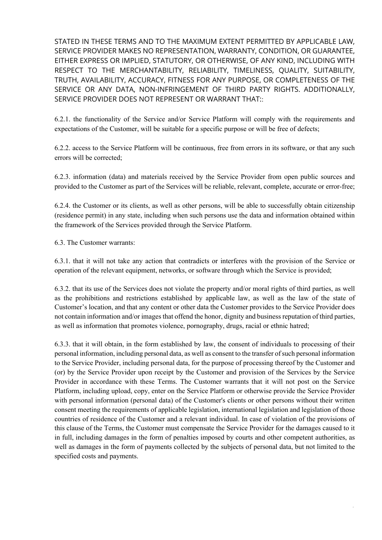STATED IN THESE TERMS AND TO THE MAXIMUM EXTENT PERMITTED BY APPLICABLE LAW, SERVICE PROVIDER MAKES NO REPRESENTATION, WARRANTY, CONDITION, OR GUARANTEE, EITHER EXPRESS OR IMPLIED, STATUTORY, OR OTHERWISE, OF ANY KIND, INCLUDING WITH RESPECT TO THE MERCHANTABILITY, RELIABILITY, TIMELINESS, QUALITY, SUITABILITY, TRUTH, AVAILABILITY, ACCURACY, FITNESS FOR ANY PURPOSE, OR COMPLETENESS OF THE SERVICE OR ANY DATA, NON-INFRINGEMENT OF THIRD PARTY RIGHTS. ADDITIONALLY, SERVICE PROVIDER DOES NOT REPRESENT OR WARRANT THAT::

6.2.1. the functionality of the Service and/or Service Platform will comply with the requirements and expectations of the Customer, will be suitable for a specific purpose or will be free of defects;

6.2.2. access to the Service Platform will be continuous, free from errors in its software, or that any such errors will be corrected;

6.2.3. information (data) and materials received by the Service Provider from open public sources and provided to the Customer as part of the Services will be reliable, relevant, complete, accurate or error-free;

6.2.4. the Customer or its clients, as well as other persons, will be able to successfully obtain citizenship (residence permit) in any state, including when such persons use the data and information obtained within the framework of the Services provided through the Service Platform.

6.3. The Customer warrants:

6.3.1. that it will not take any action that contradicts or interferes with the provision of the Service or operation of the relevant equipment, networks, or software through which the Service is provided;

6.3.2. that its use of the Services does not violate the property and/or moral rights of third parties, as well as the prohibitions and restrictions established by applicable law, as well as the law of the state of Customer's location, and that any content or other data the Customer provides to the Service Provider does not contain information and/or images that offend the honor, dignity and business reputation of third parties, as well as information that promotes violence, pornography, drugs, racial or ethnic hatred;

6.3.3. that it will obtain, in the form established by law, the consent of individuals to processing of their personal information, including personal data, as well as consent to the transfer of such personal information to the Service Provider, including personal data, for the purpose of processing thereof by the Customer and (or) by the Service Provider upon receipt by the Customer and provision of the Services by the Service Provider in accordance with these Terms. The Customer warrants that it will not post on the Service Platform, including upload, copy, enter on the Service Platform or otherwise provide the Service Provider with personal information (personal data) of the Customer's clients or other persons without their written consent meeting the requirements of applicable legislation, international legislation and legislation of those countries of residence of the Customer and a relevant individual. In case of violation of the provisions of this clause of the Terms, the Customer must compensate the Service Provider for the damages caused to it in full, including damages in the form of penalties imposed by courts and other competent authorities, as well as damages in the form of payments collected by the subjects of personal data, but not limited to the specified costs and payments.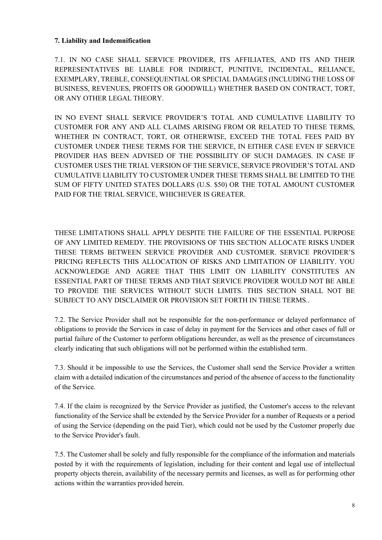### **7. Liability and Indemnification**

7.1. IN NO CASE SHALL SERVICE PROVIDER, ITS AFFILIATES, AND ITS AND THEIR REPRESENTATIVES BE LIABLE FOR INDIRECT, PUNITIVE, INCIDENTAL, RELIANCE, EXEMPLARY, TREBLE, CONSEQUENTIAL OR SPECIAL DAMAGES (INCLUDING THE LOSS OF BUSINESS, REVENUES, PROFITS OR GOODWILL) WHETHER BASED ON CONTRACT, TORT, OR ANY OTHER LEGAL THEORY.

IN NO EVENT SHALL SERVICE PROVIDER'S TOTAL AND CUMULATIVE LIABILITY TO CUSTOMER FOR ANY AND ALL CLAIMS ARISING FROM OR RELATED TO THESE TERMS, WHETHER IN CONTRACT, TORT, OR OTHERWISE, EXCEED THE TOTAL FEES PAID BY CUSTOMER UNDER THESE TERMS FOR THE SERVICE, IN EITHER CASE EVEN IF SERVICE PROVIDER HAS BEEN ADVISED OF THE POSSIBILITY OF SUCH DAMAGES. IN CASE IF CUSTOMER USES THE TRIAL VERSION OF THE SERVICE, SERVICE PROVIDER'S TOTAL AND CUMULATIVE LIABILITY TO CUSTOMER UNDER THESE TERMS SHALL BE LIMITED TO THE SUM OF FIFTY UNITED STATES DOLLARS (U.S. \$50) OR THE TOTAL AMOUNT CUSTOMER PAID FOR THE TRIAL SERVICE, WHICHEVER IS GREATER.

THESE LIMITATIONS SHALL APPLY DESPITE THE FAILURE OF THE ESSENTIAL PURPOSE OF ANY LIMITED REMEDY. THE PROVISIONS OF THIS SECTION ALLOCATE RISKS UNDER THESE TERMS BETWEEN SERVICE PROVIDER AND CUSTOMER. SERVICE PROVIDER'S PRICING REFLECTS THIS ALLOCATION OF RISKS AND LIMITATION OF LIABILITY. YOU ACKNOWLEDGE AND AGREE THAT THIS LIMIT ON LIABILITY CONSTITUTES AN ESSENTIAL PART OF THESE TERMS AND THAT SERVICE PROVIDER WOULD NOT BE ABLE TO PROVIDE THE SERVICES WITHOUT SUCH LIMITS. THIS SECTION SHALL NOT BE SUBJECT TO ANY DISCLAIMER OR PROVISION SET FORTH IN THESE TERMS..

7.2. The Service Provider shall not be responsible for the non-performance or delayed performance of obligations to provide the Services in case of delay in payment for the Services and other cases of full or partial failure of the Customer to perform obligations hereunder, as well as the presence of circumstances clearly indicating that such obligations will not be performed within the established term.

7.3. Should it be impossible to use the Services, the Customer shall send the Service Provider a written claim with a detailed indication of the circumstances and period of the absence of access to the functionality of the Service.

7.4. If the claim is recognized by the Service Provider as justified, the Customer's access to the relevant functionality of the Service shall be extended by the Service Provider for a number of Requests or a period of using the Service (depending on the paid Tier), which could not be used by the Customer properly due to the Service Provider's fault.

7.5. The Customer shall be solely and fully responsible for the compliance of the information and materials posted by it with the requirements of legislation, including for their content and legal use of intellectual property objects therein, availability of the necessary permits and licenses, as well as for performing other actions within the warranties provided herein.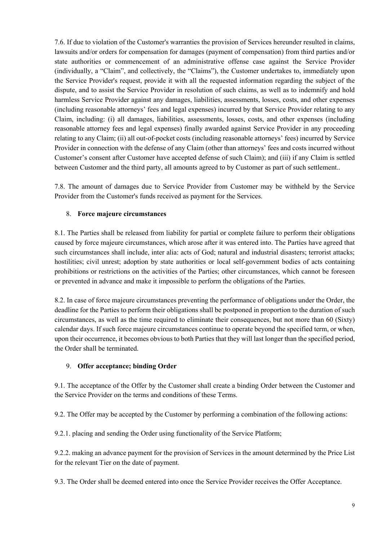7.6. If due to violation of the Customer's warranties the provision of Services hereunder resulted in claims, lawsuits and/or orders for compensation for damages (payment of compensation) from third parties and/or state authorities or commencement of an administrative offense case against the Service Provider (individually, a "Claim", and collectively, the "Claims"), the Customer undertakes to, immediately upon the Service Provider's request, provide it with all the requested information regarding the subject of the dispute, and to assist the Service Provider in resolution of such claims, as well as to indemnify and hold harmless Service Provider against any damages, liabilities, assessments, losses, costs, and other expenses (including reasonable attorneys' fees and legal expenses) incurred by that Service Provider relating to any Claim, including: (i) all damages, liabilities, assessments, losses, costs, and other expenses (including reasonable attorney fees and legal expenses) finally awarded against Service Provider in any proceeding relating to any Claim; (ii) all out-of-pocket costs (including reasonable attorneys' fees) incurred by Service Provider in connection with the defense of any Claim (other than attorneys' fees and costs incurred without Customer's consent after Customer have accepted defense of such Claim); and (iii) if any Claim is settled between Customer and the third party, all amounts agreed to by Customer as part of such settlement..

7.8. The amount of damages due to Service Provider from Customer may be withheld by the Service Provider from the Customer's funds received as payment for the Services.

## 8. **Force majeure circumstances**

8.1. The Parties shall be released from liability for partial or complete failure to perform their obligations caused by force majeure circumstances, which arose after it was entered into. The Parties have agreed that such circumstances shall include, inter alia: acts of God; natural and industrial disasters; terrorist attacks; hostilities; civil unrest; adoption by state authorities or local self-government bodies of acts containing prohibitions or restrictions on the activities of the Parties; other circumstances, which cannot be foreseen or prevented in advance and make it impossible to perform the obligations of the Parties.

8.2. In case of force majeure circumstances preventing the performance of obligations under the Order, the deadline for the Parties to perform their obligations shall be postponed in proportion to the duration of such circumstances, as well as the time required to eliminate their consequences, but not more than 60 (Sixty) calendar days. If such force majeure circumstances continue to operate beyond the specified term, or when, upon their occurrence, it becomes obvious to both Parties that they will last longer than the specified period, the Order shall be terminated.

# 9. **Offer acceptance; binding Order**

9.1. The acceptance of the Offer by the Customer shall create a binding Order between the Customer and the Service Provider on the terms and conditions of these Terms.

9.2. The Offer may be accepted by the Customer by performing a combination of the following actions:

9.2.1. placing and sending the Order using functionality of the Service Platform;

9.2.2. making an advance payment for the provision of Services in the amount determined by the Price List for the relevant Tier on the date of payment.

9.3. The Order shall be deemed entered into once the Service Provider receives the Offer Acceptance.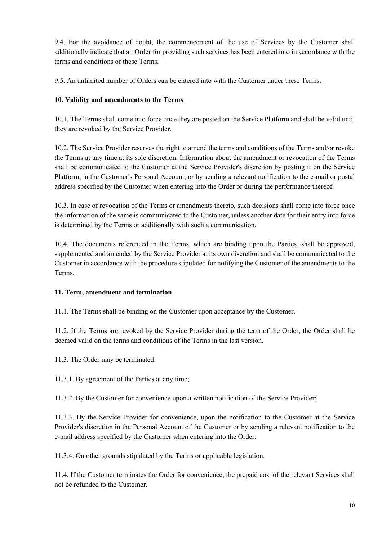9.4. For the avoidance of doubt, the commencement of the use of Services by the Customer shall additionally indicate that an Order for providing such services has been entered into in accordance with the terms and conditions of these Terms.

9.5. An unlimited number of Orders can be entered into with the Customer under these Terms.

## **10. Validity and amendments to the Terms**

10.1. The Terms shall come into force once they are posted on the Service Platform and shall be valid until they are revoked by the Service Provider.

10.2. The Service Provider reserves the right to amend the terms and conditions of the Terms and/or revoke the Terms at any time at its sole discretion. Information about the amendment or revocation of the Terms shall be communicated to the Customer at the Service Provider's discretion by posting it on the Service Platform, in the Customer's Personal Account, or by sending a relevant notification to the e-mail or postal address specified by the Customer when entering into the Order or during the performance thereof.

10.3. In case of revocation of the Terms or amendments thereto, such decisions shall come into force once the information of the same is communicated to the Customer, unless another date for their entry into force is determined by the Terms or additionally with such a communication.

10.4. The documents referenced in the Terms, which are binding upon the Parties, shall be approved, supplemented and amended by the Service Provider at its own discretion and shall be communicated to the Customer in accordance with the procedure stipulated for notifying the Customer of the amendments to the Terms.

#### **11. Term, amendment and termination**

11.1. The Terms shall be binding on the Customer upon acceptance by the Customer.

11.2. If the Terms are revoked by the Service Provider during the term of the Order, the Order shall be deemed valid on the terms and conditions of the Terms in the last version.

11.3. The Order may be terminated:

11.3.1. By agreement of the Parties at any time;

11.3.2. By the Customer for convenience upon a written notification of the Service Provider;

11.3.3. By the Service Provider for convenience, upon the notification to the Customer at the Service Provider's discretion in the Personal Account of the Customer or by sending a relevant notification to the e-mail address specified by the Customer when entering into the Order.

11.3.4. On other grounds stipulated by the Terms or applicable legislation.

11.4. If the Customer terminates the Order for convenience, the prepaid cost of the relevant Services shall not be refunded to the Customer.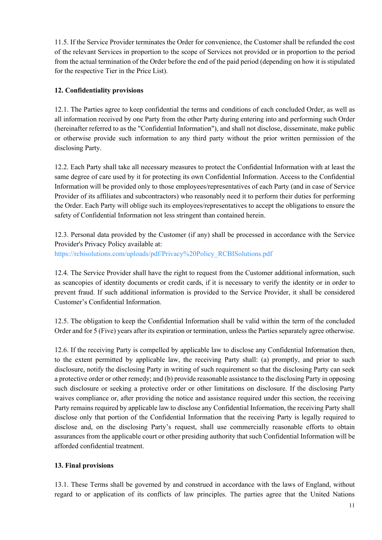11.5. If the Service Provider terminates the Order for convenience, the Customer shall be refunded the cost of the relevant Services in proportion to the scope of Services not provided or in proportion to the period from the actual termination of the Order before the end of the paid period (depending on how it is stipulated for the respective Tier in the Price List).

# **12. Confidentiality provisions**

12.1. The Parties agree to keep confidential the terms and conditions of each concluded Order, as well as all information received by one Party from the other Party during entering into and performing such Order (hereinafter referred to as the "Confidential Information"), and shall not disclose, disseminate, make public or otherwise provide such information to any third party without the prior written permission of the disclosing Party.

12.2. Each Party shall take all necessary measures to protect the Confidential Information with at least the same degree of care used by it for protecting its own Confidential Information. Access to the Confidential Information will be provided only to those employees/representatives of each Party (and in case of Service Provider of its affiliates and subcontractors) who reasonably need it to perform their duties for performing the Order. Each Party will oblige such its employees/representatives to accept the obligations to ensure the safety of Confidential Information not less stringent than contained herein.

12.3. Personal data provided by the Customer (if any) shall be processed in accordance with the Service Provider's Privacy Policy available at: https://rcbisolutions.com/uploads/pdf/Privacy%20Policy\_RCBISolutions.pdf

12.4. The Service Provider shall have the right to request from the Customer additional information, such as scancopies of identity documents or credit cards, if it is necessary to verify the identity or in order to

prevent fraud. If such additional information is provided to the Service Provider, it shall be considered Customer's Confidential Information.

12.5. The obligation to keep the Confidential Information shall be valid within the term of the concluded Order and for 5 (Five) years after its expiration or termination, unless the Parties separately agree otherwise.

12.6. If the receiving Party is compelled by applicable law to disclose any Confidential Information then, to the extent permitted by applicable law, the receiving Party shall: (a) promptly, and prior to such disclosure, notify the disclosing Party in writing of such requirement so that the disclosing Party can seek a protective order or other remedy; and (b) provide reasonable assistance to the disclosing Party in opposing such disclosure or seeking a protective order or other limitations on disclosure. If the disclosing Party waives compliance or, after providing the notice and assistance required under this section, the receiving Party remains required by applicable law to disclose any Confidential Information, the receiving Party shall disclose only that portion of the Confidential Information that the receiving Party is legally required to disclose and, on the disclosing Party's request, shall use commercially reasonable efforts to obtain assurances from the applicable court or other presiding authority that such Confidential Information will be afforded confidential treatment.

#### **13. Final provisions**

13.1. These Terms shall be governed by and construed in accordance with the laws of England, without regard to or application of its conflicts of law principles. The parties agree that the United Nations